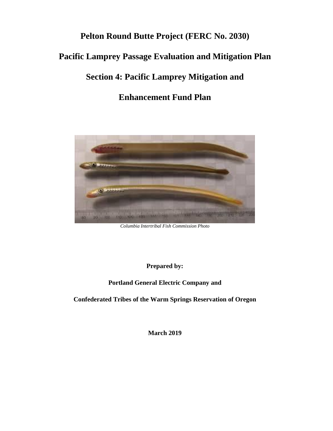# **Pelton Round Butte Project (FERC No. 2030)**

# **Pacific Lamprey Passage Evaluation and Mitigation Plan**

# **Section 4: Pacific Lamprey Mitigation and**

# **Enhancement Fund Plan**



*Columbia Intertribal Fish Commission Photo*

**Prepared by:**

**Portland General Electric Company and**

**Confederated Tribes of the Warm Springs Reservation of Oregon**

**March 2019**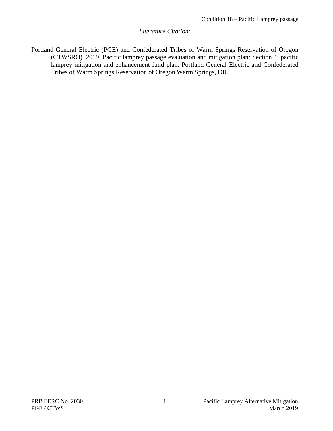#### *Literature Citation:*

Portland General Electric (PGE) and Confederated Tribes of Warm Springs Reservation of Oregon (CTWSRO). 2019. Pacific lamprey passage evaluation and mitigation plan: Section 4: pacific lamprey mitigation and enhancement fund plan. Portland General Electric and Confederated Tribes of Warm Springs Reservation of Oregon Warm Springs, OR.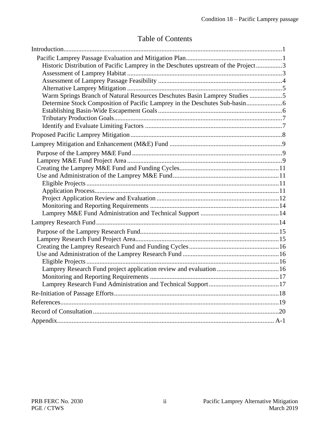### Table of Contents

| Historic Distribution of Pacific Lamprey in the Deschutes upstream of the Project3 |  |
|------------------------------------------------------------------------------------|--|
|                                                                                    |  |
|                                                                                    |  |
|                                                                                    |  |
| Warm Springs Branch of Natural Resources Deschutes Basin Lamprey Studies 5         |  |
|                                                                                    |  |
|                                                                                    |  |
|                                                                                    |  |
|                                                                                    |  |
|                                                                                    |  |
|                                                                                    |  |
|                                                                                    |  |
|                                                                                    |  |
|                                                                                    |  |
|                                                                                    |  |
|                                                                                    |  |
|                                                                                    |  |
|                                                                                    |  |
|                                                                                    |  |
|                                                                                    |  |
|                                                                                    |  |
|                                                                                    |  |
|                                                                                    |  |
|                                                                                    |  |
|                                                                                    |  |
|                                                                                    |  |
|                                                                                    |  |
|                                                                                    |  |
|                                                                                    |  |
|                                                                                    |  |
|                                                                                    |  |
|                                                                                    |  |
|                                                                                    |  |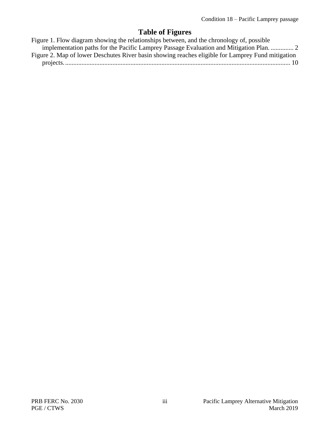# **Table of Figures**

| Figure 1. Flow diagram showing the relationships between, and the chronology of, possible         |
|---------------------------------------------------------------------------------------------------|
| implementation paths for the Pacific Lamprey Passage Evaluation and Mitigation Plan.  2           |
| Figure 2. Map of lower Deschutes River basin showing reaches eligible for Lamprey Fund mitigation |
|                                                                                                   |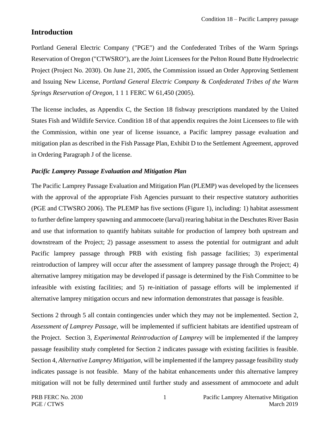### <span id="page-4-0"></span>**Introduction**

Portland General Electric Company ("PGE") and the Confederated Tribes of the Warm Springs Reservation of Oregon ("CTWSRO"), are the Joint Licensees for the Pelton Round Butte Hydroelectric Project (Project No. 2030). On June 21, 2005, the Commission issued an Order Approving Settlement and Issuing New License, *Portland General Electric Company* & *Confederated Tribes of the Warm Springs Reservation of Oregon,* 1 1 1 FERC W 61,450 (2005).

The license includes, as Appendix C, the Section 18 fishway prescriptions mandated by the United States Fish and Wildlife Service. Condition 18 of that appendix requires the Joint Licensees to file with the Commission, within one year of license issuance, a Pacific lamprey passage evaluation and mitigation plan as described in the Fish Passage Plan, Exhibit D to the Settlement Agreement, approved in Ordering Paragraph J of the license.

#### <span id="page-4-1"></span>*Pacific Lamprey Passage Evaluation and Mitigation Plan*

The Pacific Lamprey Passage Evaluation and Mitigation Plan (PLEMP) was developed by the licensees with the approval of the appropriate Fish Agencies pursuant to their respective statutory authorities (PGE and CTWSRO 2006). The PLEMP has five sections (Figure 1), including: 1) habitat assessment to further define lamprey spawning and ammocoete (larval) rearing habitat in the Deschutes River Basin and use that information to quantify habitats suitable for production of lamprey both upstream and downstream of the Project; 2) passage assessment to assess the potential for outmigrant and adult Pacific lamprey passage through PRB with existing fish passage facilities; 3) experimental reintroduction of lamprey will occur after the assessment of lamprey passage through the Project; 4) alternative lamprey mitigation may be developed if passage is determined by the Fish Committee to be infeasible with existing facilities; and 5) re-initiation of passage efforts will be implemented if alternative lamprey mitigation occurs and new information demonstrates that passage is feasible.

Sections 2 through 5 all contain contingencies under which they may not be implemented. Section 2, *Assessment of Lamprey Passage,* will be implemented if sufficient habitats are identified upstream of the Project. Section 3, *Experimental Reintroduction of Lamprey* will be implemented if the lamprey passage feasibility study completed for Section 2 indicates passage with existing facilities is feasible. Section 4, *Alternative Lamprey Mitigation,* will be implemented if the lamprey passage feasibility study indicates passage is not feasible. Many of the habitat enhancements under this alternative lamprey mitigation will not be fully determined until further study and assessment of ammocoete and adult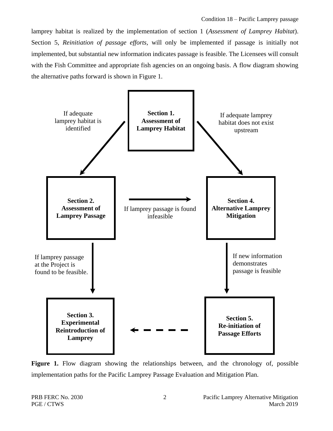lamprey habitat is realized by the implementation of section 1 (*Assessment of Lamprey Habitat*). Section 5, *Reinitiation of passage efforts,* will only be implemented if passage is initially not implemented, but substantial new information indicates passage is feasible. The Licensees will consult with the Fish Committee and appropriate fish agencies on an ongoing basis. A flow diagram showing the alternative paths forward is shown in Figure 1.



<span id="page-5-0"></span>Figure 1. Flow diagram showing the relationships between, and the chronology of, possible implementation paths for the Pacific Lamprey Passage Evaluation and Mitigation Plan.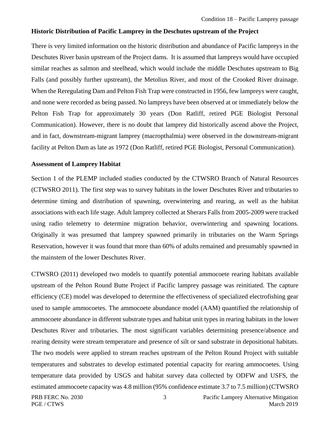#### <span id="page-6-0"></span>**Historic Distribution of Pacific Lamprey in the Deschutes upstream of the Project**

There is very limited information on the historic distribution and abundance of Pacific lampreys in the Deschutes River basin upstream of the Project dams. It is assumed that lampreys would have occupied similar reaches as salmon and steelhead, which would include the middle Deschutes upstream to Big Falls (and possibly further upstream), the Metolius River, and most of the Crooked River drainage. When the Reregulating Dam and Pelton Fish Trap were constructed in 1956, few lampreys were caught, and none were recorded as being passed. No lampreys have been observed at or immediately below the Pelton Fish Trap for approximately 30 years (Don Ratliff, retired PGE Biologist Personal Communication). However, there is no doubt that lamprey did historically ascend above the Project, and in fact, downstream-migrant lamprey (macropthalmia) were observed in the downstream-migrant facility at Pelton Dam as late as 1972 (Don Ratliff, retired PGE Biologist, Personal Communication).

#### <span id="page-6-1"></span>**Assessment of Lamprey Habitat**

Section 1 of the PLEMP included studies conducted by the CTWSRO Branch of Natural Resources (CTWSRO 2011). The first step was to survey habitats in the lower Deschutes River and tributaries to determine timing and distribution of spawning, overwintering and rearing, as well as the habitat associations with each life stage. Adult lamprey collected at Sherars Falls from 2005-2009 were tracked using radio telemetry to determine migration behavior, overwintering and spawning locations. Originally it was presumed that lamprey spawned primarily in tributaries on the Warm Springs Reservation, however it was found that more than 60% of adults remained and presumably spawned in the mainstem of the lower Deschutes River.

CTWSRO (2011) developed two models to quantify potential ammocoete rearing habitats available upstream of the Pelton Round Butte Project if Pacific lamprey passage was reinitiated. The capture efficiency (CE) model was developed to determine the effectiveness of specialized electrofishing gear used to sample ammocoetes. The ammocoete abundance model (AAM) quantified the relationship of ammocoete abundance in different substrate types and habitat unit types in rearing habitats in the lower Deschutes River and tributaries. The most significant variables determining presence/absence and rearing density were stream temperature and presence of silt or sand substrate in depositional habitats. The two models were applied to stream reaches upstream of the Pelton Round Project with suitable temperatures and substrates to develop estimated potential capacity for rearing ammocoetes. Using temperature data provided by USGS and habitat survey data collected by ODFW and USFS, the estimated ammocoete capacity was 4.8 million (95% confidence estimate 3.7 to 7.5 million) (CTWSRO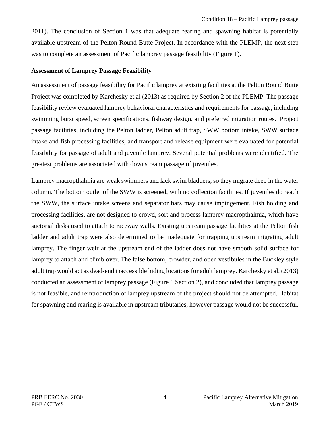2011). The conclusion of Section 1 was that adequate rearing and spawning habitat is potentially available upstream of the Pelton Round Butte Project. In accordance with the PLEMP, the next step was to complete an assessment of Pacific lamprey passage feasibility (Figure 1).

#### <span id="page-7-0"></span>**Assessment of Lamprey Passage Feasibility**

An assessment of passage feasibility for Pacific lamprey at existing facilities at the Pelton Round Butte Project was completed by Karchesky et.al (2013) as required by Section 2 of the PLEMP. The passage feasibility review evaluated lamprey behavioral characteristics and requirements for passage, including swimming burst speed, screen specifications, fishway design, and preferred migration routes. Project passage facilities, including the Pelton ladder, Pelton adult trap, SWW bottom intake, SWW surface intake and fish processing facilities, and transport and release equipment were evaluated for potential feasibility for passage of adult and juvenile lamprey. Several potential problems were identified. The greatest problems are associated with downstream passage of juveniles.

Lamprey macropthalmia are weak swimmers and lack swim bladders, so they migrate deep in the water column. The bottom outlet of the SWW is screened, with no collection facilities. If juveniles do reach the SWW, the surface intake screens and separator bars may cause impingement. Fish holding and processing facilities, are not designed to crowd, sort and process lamprey macropthalmia, which have suctorial disks used to attach to raceway walls. Existing upstream passage facilities at the Pelton fish ladder and adult trap were also determined to be inadequate for trapping upstream migrating adult lamprey. The finger weir at the upstream end of the ladder does not have smooth solid surface for lamprey to attach and climb over. The false bottom, crowder, and open vestibules in the Buckley style adult trap would act as dead-end inaccessible hiding locations for adult lamprey. Karchesky et al. (2013) conducted an assessment of lamprey passage (Figure 1 Section 2), and concluded that lamprey passage is not feasible, and reintroduction of lamprey upstream of the project should not be attempted. Habitat for spawning and rearing is available in upstream tributaries, however passage would not be successful.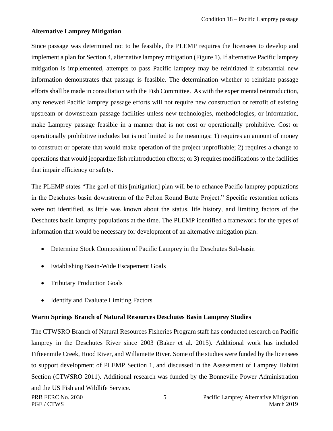#### <span id="page-8-0"></span>**Alternative Lamprey Mitigation**

Since passage was determined not to be feasible, the PLEMP requires the licensees to develop and implement a plan for Section 4, alternative lamprey mitigation (Figure 1). If alternative Pacific lamprey mitigation is implemented, attempts to pass Pacific lamprey may be reinitiated if substantial new information demonstrates that passage is feasible. The determination whether to reinitiate passage efforts shall be made in consultation with the Fish Committee. As with the experimental reintroduction, any renewed Pacific lamprey passage efforts will not require new construction or retrofit of existing upstream or downstream passage facilities unless new technologies, methodologies, or information, make Lamprey passage feasible in a manner that is not cost or operationally prohibitive. Cost or operationally prohibitive includes but is not limited to the meanings: 1) requires an amount of money to construct or operate that would make operation of the project unprofitable; 2) requires a change to operations that would jeopardize fish reintroduction efforts; or 3) requires modifications to the facilities that impair efficiency or safety.

The PLEMP states "The goal of this [mitigation] plan will be to enhance Pacific lamprey populations in the Deschutes basin downstream of the Pelton Round Butte Project." Specific restoration actions were not identified, as little was known about the status, life history, and limiting factors of the Deschutes basin lamprey populations at the time. The PLEMP identified a framework for the types of information that would be necessary for development of an alternative mitigation plan:

- Determine Stock Composition of Pacific Lamprey in the Deschutes Sub-basin
- Establishing Basin-Wide Escapement Goals
- Tributary Production Goals
- Identify and Evaluate Limiting Factors

#### <span id="page-8-1"></span>**Warm Springs Branch of Natural Resources Deschutes Basin Lamprey Studies**

The CTWSRO Branch of Natural Resources Fisheries Program staff has conducted research on Pacific lamprey in the Deschutes River since 2003 (Baker et al. 2015). Additional work has included Fifteenmile Creek, Hood River, and Willamette River. Some of the studies were funded by the licensees to support development of PLEMP Section 1, and discussed in the Assessment of Lamprey Habitat Section (CTWSRO 2011). Additional research was funded by the Bonneville Power Administration and the US Fish and Wildlife Service.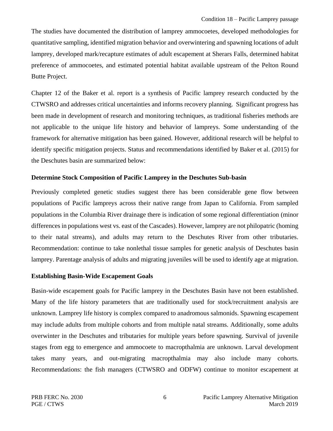The studies have documented the distribution of lamprey ammocoetes, developed methodologies for quantitative sampling, identified migration behavior and overwintering and spawning locations of adult lamprey, developed mark/recapture estimates of adult escapement at Sherars Falls, determined habitat preference of ammocoetes, and estimated potential habitat available upstream of the Pelton Round Butte Project.

Chapter 12 of the Baker et al. report is a synthesis of Pacific lamprey research conducted by the CTWSRO and addresses critical uncertainties and informs recovery planning. Significant progress has been made in development of research and monitoring techniques, as traditional fisheries methods are not applicable to the unique life history and behavior of lampreys. Some understanding of the framework for alternative mitigation has been gained. However, additional research will be helpful to identify specific mitigation projects. Status and recommendations identified by Baker et al. (2015) for the Deschutes basin are summarized below:

#### <span id="page-9-0"></span>**Determine Stock Composition of Pacific Lamprey in the Deschutes Sub-basin**

Previously completed genetic studies suggest there has been considerable gene flow between populations of Pacific lampreys across their native range from Japan to California. From sampled populations in the Columbia River drainage there is indication of some regional differentiation (minor differences in populations west vs. east of the Cascades). However, lamprey are not philopatric (homing to their natal streams), and adults may return to the Deschutes River from other tributaries. Recommendation: continue to take nonlethal tissue samples for genetic analysis of Deschutes basin lamprey. Parentage analysis of adults and migrating juveniles will be used to identify age at migration.

#### <span id="page-9-1"></span>**Establishing Basin-Wide Escapement Goals**

Basin-wide escapement goals for Pacific lamprey in the Deschutes Basin have not been established. Many of the life history parameters that are traditionally used for stock/recruitment analysis are unknown. Lamprey life history is complex compared to anadromous salmonids. Spawning escapement may include adults from multiple cohorts and from multiple natal streams. Additionally, some adults overwinter in the Deschutes and tributaries for multiple years before spawning. Survival of juvenile stages from egg to emergence and ammocoete to macropthalmia are unknown. Larval development takes many years, and out-migrating macropthalmia may also include many cohorts. Recommendations: the fish managers (CTWSRO and ODFW) continue to monitor escapement at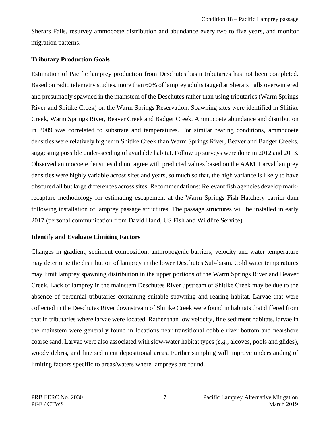Sherars Falls, resurvey ammocoete distribution and abundance every two to five years, and monitor migration patterns.

#### <span id="page-10-0"></span>**Tributary Production Goals**

Estimation of Pacific lamprey production from Deschutes basin tributaries has not been completed. Based on radio telemetry studies, more than 60% of lamprey adults tagged at Sherars Falls overwintered and presumably spawned in the mainstem of the Deschutes rather than using tributaries (Warm Springs River and Shitike Creek) on the Warm Springs Reservation. Spawning sites were identified in Shitike Creek, Warm Springs River, Beaver Creek and Badger Creek. Ammocoete abundance and distribution in 2009 was correlated to substrate and temperatures. For similar rearing conditions, ammocoete densities were relatively higher in Shitike Creek than Warm Springs River, Beaver and Badger Creeks, suggesting possible under-seeding of available habitat. Follow up surveys were done in 2012 and 2013. Observed ammocoete densities did not agree with predicted values based on the AAM. Larval lamprey densities were highly variable across sites and years, so much so that, the high variance is likely to have obscured all but large differences across sites. Recommendations: Relevant fish agencies develop markrecapture methodology for estimating escapement at the Warm Springs Fish Hatchery barrier dam following installation of lamprey passage structures. The passage structures will be installed in early 2017 (personal communication from David Hand, US Fish and Wildlife Service).

#### <span id="page-10-1"></span>**Identify and Evaluate Limiting Factors**

Changes in gradient, sediment composition, anthropogenic barriers, velocity and water temperature may determine the distribution of lamprey in the lower Deschutes Sub-basin. Cold water temperatures may limit lamprey spawning distribution in the upper portions of the Warm Springs River and Beaver Creek. Lack of lamprey in the mainstem Deschutes River upstream of Shitike Creek may be due to the absence of perennial tributaries containing suitable spawning and rearing habitat. Larvae that were collected in the Deschutes River downstream of Shitike Creek were found in habitats that differed from that in tributaries where larvae were located. Rather than low velocity, fine sediment habitats, larvae in the mainstem were generally found in locations near transitional cobble river bottom and nearshore coarse sand. Larvae were also associated with slow-water habitat types (*e.g.,* alcoves, pools and glides), woody debris, and fine sediment depositional areas. Further sampling will improve understanding of limiting factors specific to areas/waters where lampreys are found.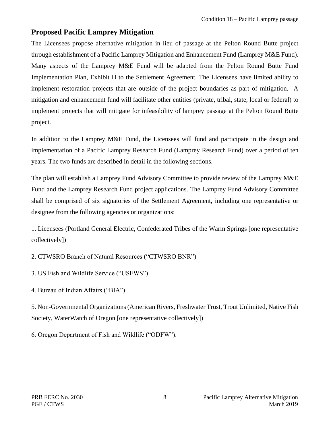### <span id="page-11-0"></span>**Proposed Pacific Lamprey Mitigation**

The Licensees propose alternative mitigation in lieu of passage at the Pelton Round Butte project through establishment of a Pacific Lamprey Mitigation and Enhancement Fund (Lamprey M&E Fund). Many aspects of the Lamprey M&E Fund will be adapted from the Pelton Round Butte Fund Implementation Plan, Exhibit H to the Settlement Agreement. The Licensees have limited ability to implement restoration projects that are outside of the project boundaries as part of mitigation. A mitigation and enhancement fund will facilitate other entities (private, tribal, state, local or federal) to implement projects that will mitigate for infeasibility of lamprey passage at the Pelton Round Butte project.

In addition to the Lamprey M&E Fund, the Licensees will fund and participate in the design and implementation of a Pacific Lamprey Research Fund (Lamprey Research Fund) over a period of ten years. The two funds are described in detail in the following sections.

The plan will establish a Lamprey Fund Advisory Committee to provide review of the Lamprey M&E Fund and the Lamprey Research Fund project applications. The Lamprey Fund Advisory Committee shall be comprised of six signatories of the Settlement Agreement, including one representative or designee from the following agencies or organizations:

1. Licensees (Portland General Electric, Confederated Tribes of the Warm Springs [one representative collectively])

2. CTWSRO Branch of Natural Resources ("CTWSRO BNR")

3. US Fish and Wildlife Service ("USFWS")

4. Bureau of Indian Affairs ("BIA")

5. Non-Governmental Organizations (American Rivers, Freshwater Trust, Trout Unlimited, Native Fish Society, WaterWatch of Oregon [one representative collectively])

6. Oregon Department of Fish and Wildlife ("ODFW").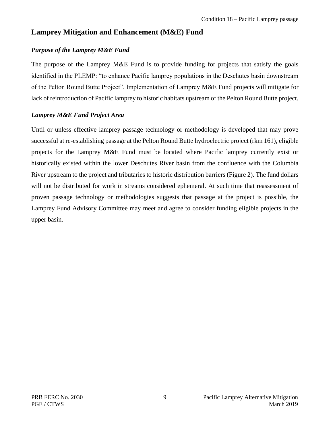### <span id="page-12-0"></span>**Lamprey Mitigation and Enhancement (M&E) Fund**

#### <span id="page-12-1"></span>*Purpose of the Lamprey M&E Fund*

The purpose of the Lamprey M&E Fund is to provide funding for projects that satisfy the goals identified in the PLEMP: "to enhance Pacific lamprey populations in the Deschutes basin downstream of the Pelton Round Butte Project". Implementation of Lamprey M&E Fund projects will mitigate for lack of reintroduction of Pacific lamprey to historic habitats upstream of the Pelton Round Butte project.

#### <span id="page-12-2"></span>*Lamprey M&E Fund Project Area*

Until or unless effective lamprey passage technology or methodology is developed that may prove successful at re-establishing passage at the Pelton Round Butte hydroelectric project (rkm 161), eligible projects for the Lamprey M&E Fund must be located where Pacific lamprey currently exist or historically existed within the lower Deschutes River basin from the confluence with the Columbia River upstream to the project and tributaries to historic distribution barriers (Figure 2). The fund dollars will not be distributed for work in streams considered ephemeral. At such time that reassessment of proven passage technology or methodologies suggests that passage at the project is possible, the Lamprey Fund Advisory Committee may meet and agree to consider funding eligible projects in the upper basin.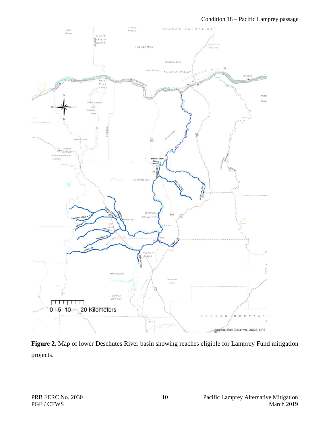

<span id="page-13-0"></span>**Figure 2.** Map of lower Deschutes River basin showing reaches eligible for Lamprey Fund mitigation projects.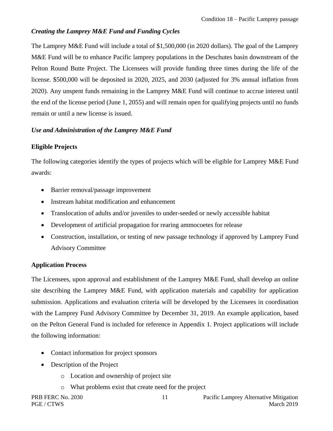#### <span id="page-14-0"></span>*Creating the Lamprey M&E Fund and Funding Cycles*

The Lamprey M&E Fund will include a total of \$1,500,000 (in 2020 dollars). The goal of the Lamprey M&E Fund will be to enhance Pacific lamprey populations in the Deschutes basin downstream of the Pelton Round Butte Project. The Licensees will provide funding three times during the life of the license. \$500,000 will be deposited in 2020, 2025, and 2030 (adjusted for 3% annual inflation from 2020). Any unspent funds remaining in the Lamprey M&E Fund will continue to accrue interest until the end of the license period (June 1, 2055) and will remain open for qualifying projects until no funds remain or until a new license is issued.

#### <span id="page-14-1"></span>*Use and Administration of the Lamprey M&E Fund*

#### <span id="page-14-2"></span>**Eligible Projects**

The following categories identify the types of projects which will be eligible for Lamprey M&E Fund awards:

- Barrier removal/passage improvement
- Instream habitat modification and enhancement
- Translocation of adults and/or juveniles to under-seeded or newly accessible habitat
- Development of artificial propagation for rearing ammocoetes for release
- Construction, installation, or testing of new passage technology if approved by Lamprey Fund Advisory Committee

#### <span id="page-14-3"></span>**Application Process**

The Licensees, upon approval and establishment of the Lamprey M&E Fund, shall develop an online site describing the Lamprey M&E Fund, with application materials and capability for application submission. Applications and evaluation criteria will be developed by the Licensees in coordination with the Lamprey Fund Advisory Committee by December 31, 2019. An example application, based on the Pelton General Fund is included for reference in Appendix 1. Project applications will include the following information:

- Contact information for project sponsors
- Description of the Project
	- o Location and ownership of project site
	- o What problems exist that create need for the project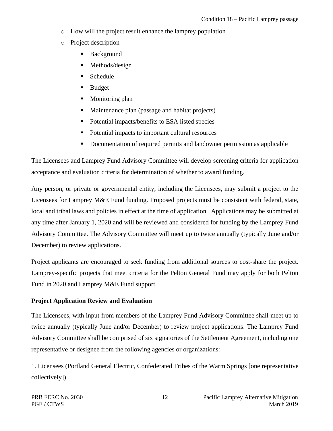- o How will the project result enhance the lamprey population
- o Project description
	- **Background**
	- Methods/design
	- **Schedule**
	- **Budget**
	- Monitoring plan
	- Maintenance plan (passage and habitat projects)
	- Potential impacts/benefits to ESA listed species
	- Potential impacts to important cultural resources
	- Documentation of required permits and landowner permission as applicable

The Licensees and Lamprey Fund Advisory Committee will develop screening criteria for application acceptance and evaluation criteria for determination of whether to award funding.

Any person, or private or governmental entity, including the Licensees, may submit a project to the Licensees for Lamprey M&E Fund funding. Proposed projects must be consistent with federal, state, local and tribal laws and policies in effect at the time of application. Applications may be submitted at any time after January 1, 2020 and will be reviewed and considered for funding by the Lamprey Fund Advisory Committee. The Advisory Committee will meet up to twice annually (typically June and/or December) to review applications.

Project applicants are encouraged to seek funding from additional sources to cost-share the project. Lamprey-specific projects that meet criteria for the Pelton General Fund may apply for both Pelton Fund in 2020 and Lamprey M&E Fund support.

#### <span id="page-15-0"></span>**Project Application Review and Evaluation**

The Licensees, with input from members of the Lamprey Fund Advisory Committee shall meet up to twice annually (typically June and/or December) to review project applications. The Lamprey Fund Advisory Committee shall be comprised of six signatories of the Settlement Agreement, including one representative or designee from the following agencies or organizations:

1. Licensees (Portland General Electric, Confederated Tribes of the Warm Springs [one representative collectively])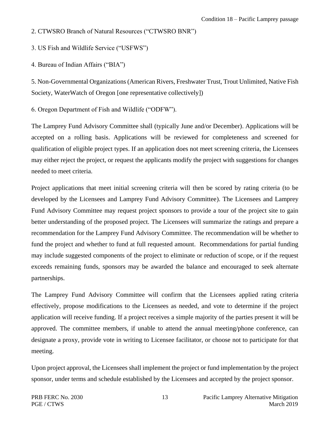2. CTWSRO Branch of Natural Resources ("CTWSRO BNR")

3. US Fish and Wildlife Service ("USFWS")

4. Bureau of Indian Affairs ("BIA")

5. Non-Governmental Organizations (American Rivers, Freshwater Trust, Trout Unlimited, Native Fish Society, WaterWatch of Oregon [one representative collectively])

6. Oregon Department of Fish and Wildlife ("ODFW").

The Lamprey Fund Advisory Committee shall (typically June and/or December). Applications will be accepted on a rolling basis. Applications will be reviewed for completeness and screened for qualification of eligible project types. If an application does not meet screening criteria, the Licensees may either reject the project, or request the applicants modify the project with suggestions for changes needed to meet criteria.

Project applications that meet initial screening criteria will then be scored by rating criteria (to be developed by the Licensees and Lamprey Fund Advisory Committee). The Licensees and Lamprey Fund Advisory Committee may request project sponsors to provide a tour of the project site to gain better understanding of the proposed project. The Licensees will summarize the ratings and prepare a recommendation for the Lamprey Fund Advisory Committee. The recommendation will be whether to fund the project and whether to fund at full requested amount. Recommendations for partial funding may include suggested components of the project to eliminate or reduction of scope, or if the request exceeds remaining funds, sponsors may be awarded the balance and encouraged to seek alternate partnerships.

The Lamprey Fund Advisory Committee will confirm that the Licensees applied rating criteria effectively, propose modifications to the Licensees as needed, and vote to determine if the project application will receive funding. If a project receives a simple majority of the parties present it will be approved. The committee members, if unable to attend the annual meeting/phone conference, can designate a proxy, provide vote in writing to Licensee facilitator, or choose not to participate for that meeting.

Upon project approval, the Licensees shall implement the project or fund implementation by the project sponsor, under terms and schedule established by the Licensees and accepted by the project sponsor.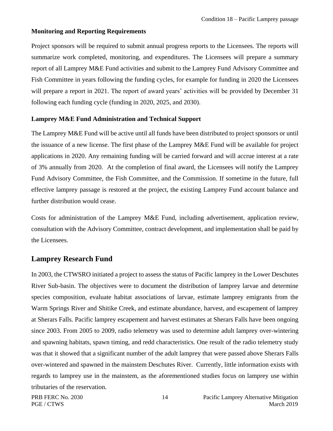#### <span id="page-17-0"></span>**Monitoring and Reporting Requirements**

Project sponsors will be required to submit annual progress reports to the Licensees. The reports will summarize work completed, monitoring, and expenditures. The Licensees will prepare a summary report of all Lamprey M&E Fund activities and submit to the Lamprey Fund Advisory Committee and Fish Committee in years following the funding cycles, for example for funding in 2020 the Licensees will prepare a report in 2021. The report of award years' activities will be provided by December 31 following each funding cycle (funding in 2020, 2025, and 2030).

#### <span id="page-17-1"></span>**Lamprey M&E Fund Administration and Technical Support**

The Lamprey M&E Fund will be active until all funds have been distributed to project sponsors or until the issuance of a new license. The first phase of the Lamprey M&E Fund will be available for project applications in 2020. Any remaining funding will be carried forward and will accrue interest at a rate of 3% annually from 2020. At the completion of final award, the Licensees will notify the Lamprey Fund Advisory Committee, the Fish Committee, and the Commission. If sometime in the future, full effective lamprey passage is restored at the project, the existing Lamprey Fund account balance and further distribution would cease.

Costs for administration of the Lamprey M&E Fund, including advertisement, application review, consultation with the Advisory Committee, contract development, and implementation shall be paid by the Licensees.

#### <span id="page-17-2"></span>**Lamprey Research Fund**

In 2003, the CTWSRO initiated a project to assess the status of Pacific lamprey in the Lower Deschutes River Sub-basin. The objectives were to document the distribution of lamprey larvae and determine species composition, evaluate habitat associations of larvae, estimate lamprey emigrants from the Warm Springs River and Shitike Creek, and estimate abundance, harvest, and escapement of lamprey at Sherars Falls. Pacific lamprey escapement and harvest estimates at Sherars Falls have been ongoing since 2003. From 2005 to 2009, radio telemetry was used to determine adult lamprey over-wintering and spawning habitats, spawn timing, and redd characteristics. One result of the radio telemetry study was that it showed that a significant number of the adult lamprey that were passed above Sherars Falls over-wintered and spawned in the mainstem Deschutes River. Currently, little information exists with regards to lamprey use in the mainstem, as the aforementioned studies focus on lamprey use within tributaries of the reservation.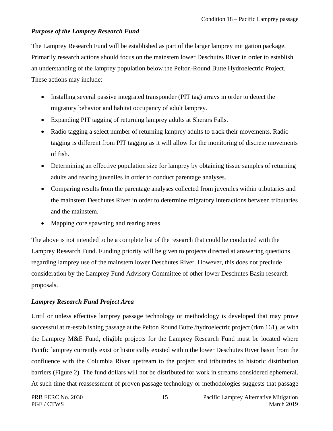#### <span id="page-18-0"></span>*Purpose of the Lamprey Research Fund*

The Lamprey Research Fund will be established as part of the larger lamprey mitigation package. Primarily research actions should focus on the mainstem lower Deschutes River in order to establish an understanding of the lamprey population below the Pelton-Round Butte Hydroelectric Project. These actions may include:

- Installing several passive integrated transponder (PIT tag) arrays in order to detect the migratory behavior and habitat occupancy of adult lamprey.
- Expanding PIT tagging of returning lamprey adults at Sherars Falls.
- Radio tagging a select number of returning lamprey adults to track their movements. Radio tagging is different from PIT tagging as it will allow for the monitoring of discrete movements of fish.
- Determining an effective population size for lamprey by obtaining tissue samples of returning adults and rearing juveniles in order to conduct parentage analyses.
- Comparing results from the parentage analyses collected from juveniles within tributaries and the mainstem Deschutes River in order to determine migratory interactions between tributaries and the mainstem.
- Mapping core spawning and rearing areas.

The above is not intended to be a complete list of the research that could be conducted with the Lamprey Research Fund. Funding priority will be given to projects directed at answering questions regarding lamprey use of the mainstem lower Deschutes River. However, this does not preclude consideration by the Lamprey Fund Advisory Committee of other lower Deschutes Basin research proposals.

#### <span id="page-18-1"></span>*Lamprey Research Fund Project Area*

Until or unless effective lamprey passage technology or methodology is developed that may prove successful at re-establishing passage at the Pelton Round Butte /hydroelectric project (rkm 161), as with the Lamprey M&E Fund, eligible projects for the Lamprey Research Fund must be located where Pacific lamprey currently exist or historically existed within the lower Deschutes River basin from the confluence with the Columbia River upstream to the project and tributaries to historic distribution barriers (Figure 2). The fund dollars will not be distributed for work in streams considered ephemeral. At such time that reassessment of proven passage technology or methodologies suggests that passage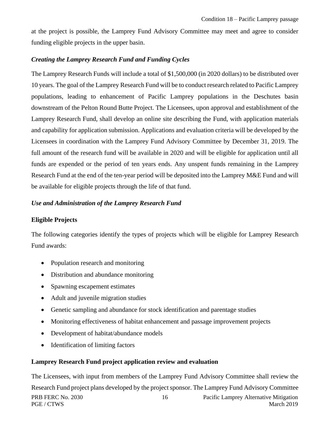at the project is possible, the Lamprey Fund Advisory Committee may meet and agree to consider funding eligible projects in the upper basin.

#### <span id="page-19-0"></span>*Creating the Lamprey Research Fund and Funding Cycles*

The Lamprey Research Funds will include a total of \$1,500,000 (in 2020 dollars) to be distributed over 10 years. The goal of the Lamprey Research Fund will be to conduct research related to Pacific Lamprey populations, leading to enhancement of Pacific Lamprey populations in the Deschutes basin downstream of the Pelton Round Butte Project. The Licensees, upon approval and establishment of the Lamprey Research Fund, shall develop an online site describing the Fund, with application materials and capability for application submission. Applications and evaluation criteria will be developed by the Licensees in coordination with the Lamprey Fund Advisory Committee by December 31, 2019. The full amount of the research fund will be available in 2020 and will be eligible for application until all funds are expended or the period of ten years ends. Any unspent funds remaining in the Lamprey Research Fund at the end of the ten-year period will be deposited into the Lamprey M&E Fund and will be available for eligible projects through the life of that fund.

#### <span id="page-19-1"></span>*Use and Administration of the Lamprey Research Fund*

#### <span id="page-19-2"></span>**Eligible Projects**

The following categories identify the types of projects which will be eligible for Lamprey Research Fund awards:

- Population research and monitoring
- Distribution and abundance monitoring
- Spawning escapement estimates
- Adult and juvenile migration studies
- Genetic sampling and abundance for stock identification and parentage studies
- Monitoring effectiveness of habitat enhancement and passage improvement projects
- Development of habitat/abundance models
- Identification of limiting factors

#### <span id="page-19-3"></span>**Lamprey Research Fund project application review and evaluation**

PRB FERC No. 2030 16 Pacific Lamprey Alternative Mitigation PGE / CTWS March 2019 The Licensees, with input from members of the Lamprey Fund Advisory Committee shall review the Research Fund project plans developed by the project sponsor. The Lamprey Fund Advisory Committee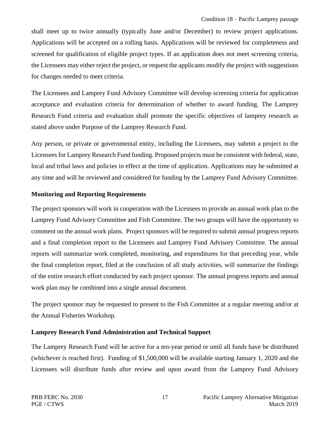shall meet up to twice annually (typically June and/or December) to review project applications. Applications will be accepted on a rolling basis. Applications will be reviewed for completeness and screened for qualification of eligible project types. If an application does not meet screening criteria, the Licensees may either reject the project, or request the applicants modify the project with suggestions for changes needed to meet criteria.

The Licensees and Lamprey Fund Advisory Committee will develop screening criteria for application acceptance and evaluation criteria for determination of whether to award funding. The Lamprey Research Fund criteria and evaluation shall promote the specific objectives of lamprey research as stated above under Purpose of the Lamprey Research Fund.

Any person, or private or governmental entity, including the Licensees, may submit a project to the Licensees for Lamprey Research Fund funding. Proposed projects must be consistent with federal, state, local and tribal laws and policies in effect at the time of application. Applications may be submitted at any time and will be reviewed and considered for funding by the Lamprey Fund Advisory Committee.

#### <span id="page-20-0"></span>**Monitoring and Reporting Requirements**

The project sponsors will work in cooperation with the Licensees to provide an annual work plan to the Lamprey Fund Advisory Committee and Fish Committee. The two groups will have the opportunity to comment on the annual work plans. Project sponsors will be required to submit annual progress reports and a final completion report to the Licensees and Lamprey Fund Advisory Committee. The annual reports will summarize work completed, monitoring, and expenditures for that preceding year, while the final completion report, filed at the conclusion of all study activities, will summarize the findings of the entire research effort conducted by each project sponsor. The annual progress reports and annual work plan may be combined into a single annual document.

The project sponsor may be requested to present to the Fish Committee at a regular meeting and/or at the Annual Fisheries Workshop.

#### <span id="page-20-1"></span>**Lamprey Research Fund Administration and Technical Support**

The Lamprey Research Fund will be active for a ten-year period or until all funds have be distributed (whichever is reached first). Funding of \$1,500,000 will be available starting January 1, 2020 and the Licensees will distribute funds after review and upon award from the Lamprey Fund Advisory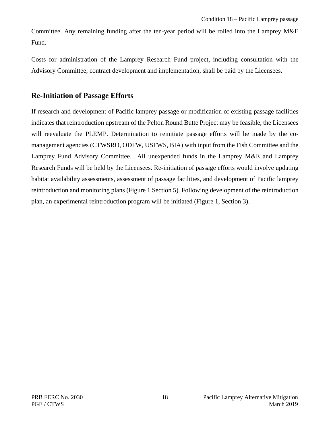Committee. Any remaining funding after the ten-year period will be rolled into the Lamprey M&E Fund.

Costs for administration of the Lamprey Research Fund project, including consultation with the Advisory Committee, contract development and implementation, shall be paid by the Licensees.

### <span id="page-21-0"></span>**Re-Initiation of Passage Efforts**

If research and development of Pacific lamprey passage or modification of existing passage facilities indicates that reintroduction upstream of the Pelton Round Butte Project may be feasible, the Licensees will reevaluate the PLEMP. Determination to reinitiate passage efforts will be made by the comanagement agencies (CTWSRO, ODFW, USFWS, BIA) with input from the Fish Committee and the Lamprey Fund Advisory Committee. All unexpended funds in the Lamprey M&E and Lamprey Research Funds will be held by the Licensees. Re-initiation of passage efforts would involve updating habitat availability assessments, assessment of passage facilities, and development of Pacific lamprey reintroduction and monitoring plans (Figure 1 Section 5). Following development of the reintroduction plan, an experimental reintroduction program will be initiated (Figure 1, Section 3).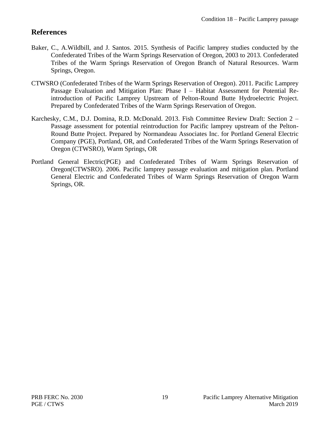### <span id="page-22-0"></span>**References**

- Baker, C., A.Wildbill, and J. Santos. 2015. Synthesis of Pacific lamprey studies conducted by the Confederated Tribes of the Warm Springs Reservation of Oregon, 2003 to 2013. Confederated Tribes of the Warm Springs Reservation of Oregon Branch of Natural Resources. Warm Springs, Oregon.
- CTWSRO (Confederated Tribes of the Warm Springs Reservation of Oregon). 2011. Pacific Lamprey Passage Evaluation and Mitigation Plan: Phase I – Habitat Assessment for Potential Reintroduction of Pacific Lamprey Upstream of Pelton-Round Butte Hydroelectric Project. Prepared by Confederated Tribes of the Warm Springs Reservation of Oregon.
- Karchesky, C.M., D.J. Domina, R.D. McDonald. 2013. Fish Committee Review Draft: Section 2 Passage assessment for potential reintroduction for Pacific lamprey upstream of the Pelton-Round Butte Project. Prepared by Normandeau Associates Inc. for Portland General Electric Company (PGE), Portland, OR, and Confederated Tribes of the Warm Springs Reservation of Oregon (CTWSRO), Warm Springs, OR
- Portland General Electric(PGE) and Confederated Tribes of Warm Springs Reservation of Oregon(CTWSRO). 2006. Pacific lamprey passage evaluation and mitigation plan. Portland General Electric and Confederated Tribes of Warm Springs Reservation of Oregon Warm Springs, OR.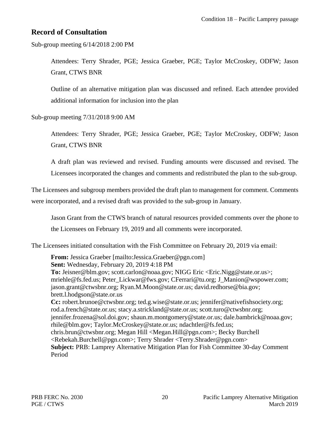### <span id="page-23-0"></span>**Record of Consultation**

Sub-group meeting 6/14/2018 2:00 PM

Attendees: Terry Shrader, PGE; Jessica Graeber, PGE; Taylor McCroskey, ODFW; Jason Grant, CTWS BNR

Outline of an alternative mitigation plan was discussed and refined. Each attendee provided additional information for inclusion into the plan

Sub-group meeting 7/31/2018 9:00 AM

Attendees: Terry Shrader, PGE; Jessica Graeber, PGE; Taylor McCroskey, ODFW; Jason Grant, CTWS BNR

A draft plan was reviewed and revised. Funding amounts were discussed and revised. The Licensees incorporated the changes and comments and redistributed the plan to the sub-group.

The Licensees and subgroup members provided the draft plan to management for comment. Comments were incorporated, and a revised draft was provided to the sub-group in January.

Jason Grant from the CTWS branch of natural resources provided comments over the phone to the Licensees on February 19, 2019 and all comments were incorporated.

The Licensees initiated consultation with the Fish Committee on February 20, 2019 via email:

**From:** Jessica Graeber [\[mailto:Jessica.Graeber@pgn.com\]](mailto:Jessica.Graeber@pgn.com) **Sent:** Wednesday, February 20, 2019 4:18 PM **To:** [Jeisner@blm.gov;](mailto:Jeisner@blm.gov) [scott.carlon@noaa.gov;](mailto:scott.carlon@noaa.gov) NIGG Eric [<Eric.Nigg@state.or.us>](mailto:Eric.Nigg@state.or.us); [mriehle@fs.fed.us;](mailto:mriehle@fs.fed.us) [Peter\\_Lickwar@fws.gov;](mailto:Peter_Lickwar@fws.gov) [CFerrari@tu.org;](mailto:CFerrari@tu.org) [J\\_Manion@wspower.com;](mailto:J_Manion@wspower.com) [jason.grant@ctwsbnr.org;](mailto:jason.grant@ctwsbnr.org) [Ryan.M.Moon@state.or.us;](mailto:Ryan.M.Moon@state.or.us) [david.redhorse@bia.gov;](mailto:david.redhorse@bia.gov) [brett.l.hodgson@state.or.us](mailto:brett.l.hodgson@state.or.us) **Cc:** [robert.brunoe@ctwsbnr.org;](mailto:robert.brunoe@ctwsbnr.org) [ted.g.wise@state.or.us;](mailto:ted.g.wise@state.or.us) [jennifer@nativefishsociety.org;](mailto:jennifer@nativefishsociety.org) [rod.a.french@state.or.us;](mailto:rod.a.french@state.or.us) [stacy.a.strickland@state.or.us;](mailto:stacy.a.strickland@state.or.us) [scott.turo@ctwsbnr.org;](mailto:scott.turo@ctwsbnr.org) [jennifer.frozena@sol.doi.gov;](mailto:jennifer.frozena@sol.doi.gov) [shaun.m.montgomery@state.or.us;](mailto:shaun.m.montgomery@state.or.us) [dale.bambrick@noaa.gov;](mailto:dale.bambrick@noaa.gov) [rhile@blm.gov;](mailto:rhile@blm.gov) [Taylor.McCroskey@state.or.us;](mailto:Taylor.McCroskey@state.or.us) [ndachtler@fs.fed.us;](mailto:ndachtler@fs.fed.us) [chris.brun@ctwsbnr.org;](mailto:chris.brun@ctwsbnr.org) Megan Hill [<Megan.Hill@pgn.com>](mailto:Megan.Hill@pgn.com); Becky Burchell [<Rebekah.Burchell@pgn.com>](mailto:Rebekah.Burchell@pgn.com); Terry Shrader [<Terry.Shrader@pgn.com>](mailto:Terry.Shrader@pgn.com) **Subject:** PRB: Lamprey Alternative Mitigation Plan for Fish Committee 30-day Comment Period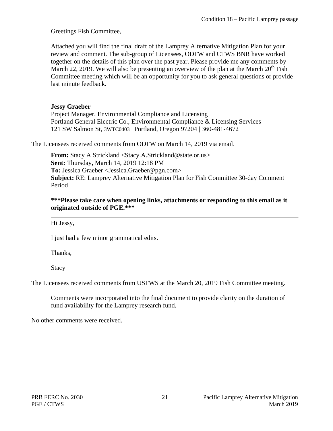Greetings Fish Committee,

Attached you will find the final draft of the Lamprey Alternative Mitigation Plan for your review and comment. The sub-group of Licensees, ODFW and CTWS BNR have worked together on the details of this plan over the past year. Please provide me any comments by March 22, 2019. We will also be presenting an overview of the plan at the March  $20<sup>th</sup>$  Fish Committee meeting which will be an opportunity for you to ask general questions or provide last minute feedback.

#### **Jessy Graeber**

Project Manager, Environmental Compliance and Licensing Portland General Electric Co., Environmental Compliance & Licensing Services 121 SW Salmon St, 3WTC0403 | Portland, Oregon 97204 | 360-481-4672

The Licensees received comments from ODFW on March 14, 2019 via email.

**From:** Stacy A Strickland <Stacy.A.Strickland@state.or.us> **Sent:** Thursday, March 14, 2019 12:18 PM **To:** Jessica Graeber <Jessica.Graeber@pgn.com> **Subject:** RE: Lamprey Alternative Mitigation Plan for Fish Committee 30-day Comment Period

**\*\*\*Please take care when opening links, attachments or responding to this email as it originated outside of PGE.\*\*\*** 

Hi Jessy,

I just had a few minor grammatical edits.

Thanks,

Stacy

The Licensees received comments from USFWS at the March 20, 2019 Fish Committee meeting.

Comments were incorporated into the final document to provide clarity on the duration of fund availability for the Lamprey research fund.

No other comments were received.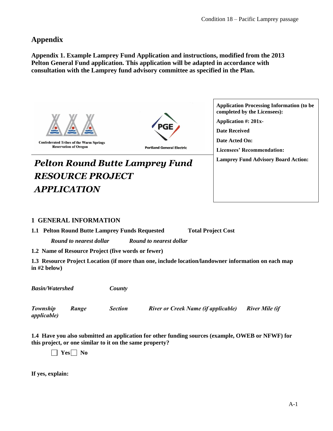#### <span id="page-25-0"></span>**Appendix**

**Appendix 1. Example Lamprey Fund Application and instructions, modified from the 2013 Pelton General Fund application. This application will be adapted in accordance with consultation with the Lamprey fund advisory committee as specified in the Plan.**



**Confederated Tribes of the Warm Springs Reservation of Oregon** 

**Portland General Electric** 

# **Pelton Round Butte Lamprey Fund**  $\left| \begin{array}{c} \text{Lamprey Fund Advisory Board Action:} \\ \end{array} \right|$ *RESOURCE PROJECT APPLICATION*

**Application Processing Information (to be completed by the Licensees): Application #: 201x-Date Received Date Acted On: Licensees' Recommendation:** 

#### **1 GENERAL INFORMATION**

**1.1 Pelton Round Butte Lamprey Funds Requested Total Project Cost** 

*Round to nearest dollar Round to nearest dollar*

**1.2 Name of Resource Project (five words or fewer)** 

**1.3 Resource Project Location (if more than one, include location/landowner information on each map in #2 below)**

*Basin/Watershed County*

*applicable)*

*Township Range Section River or Creek Name (if applicable) River Mile (if* 

**1.4 Have you also submitted an application for other funding sources (example, OWEB or NFWF) for this project, or one similar to it on the same property?**

 **Yes No**

**If yes, explain:**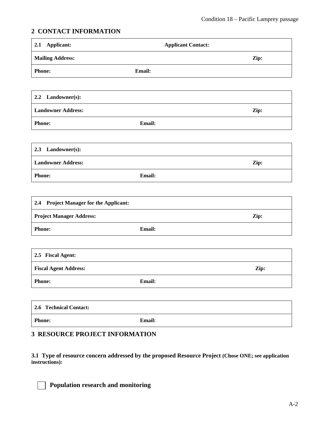#### **2 CONTACT INFORMATION**

| Applicant:<br>2.1                      |               | <b>Applicant Contact:</b> |      |
|----------------------------------------|---------------|---------------------------|------|
| <b>Mailing Address:</b>                |               |                           | Zip: |
| Phone:                                 | <b>Email:</b> |                           |      |
|                                        |               |                           |      |
| 2.2<br>Landowner(s):                   |               |                           |      |
| <b>Landowner Address:</b>              |               |                           | Zip: |
| Phone:                                 | Email:        |                           |      |
|                                        |               |                           |      |
| Landowner(s):<br>2.3                   |               |                           |      |
| <b>Landowner Address:</b>              |               |                           | Zip: |
| Phone:                                 | Email:        |                           |      |
|                                        |               |                           |      |
| 2.4 Project Manager for the Applicant: |               |                           |      |
| <b>Project Manager Address:</b>        |               |                           | Zip: |
| Phone:                                 | Email:        |                           |      |
|                                        |               |                           |      |
| 2.5 Fiscal Agent:                      |               |                           |      |
| <b>Fiscal Agent Address:</b>           |               |                           | Zip: |
| <b>Phone:</b>                          | Email:        |                           |      |
|                                        |               |                           |      |
| 2.6 Technical Contact:                 |               |                           |      |

Phone: **Email:** 

#### **3 RESOURCE PROJECT INFORMATION**

**3.1 Type of resource concern addressed by the proposed Resource Project (Chose ONE; see application instructions):**

 **Population research and monitoring**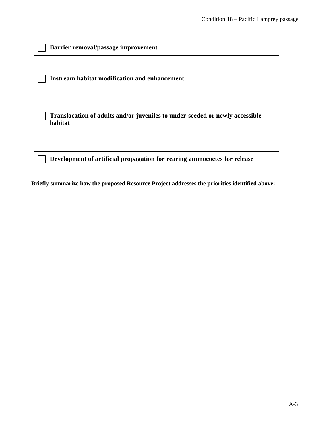**Instream habitat modification and enhancement**

**Translocation of adults and/or juveniles to under-seeded or newly accessible habitat**

**Development of artificial propagation for rearing ammocoetes for release** 

**Briefly summarize how the proposed Resource Project addresses the priorities identified above:**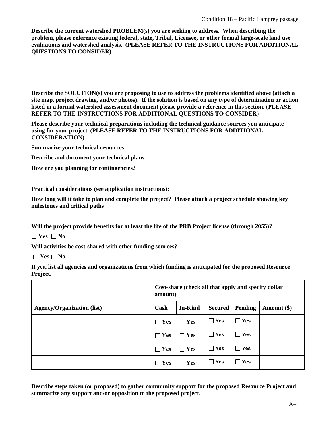**Describe the current watershed PROBLEM(s) you are seeking to address. When describing the problem, please reference existing federal, state, Tribal, Licensee, or other formal large-scale land use evaluations and watershed analysis. (PLEASE REFER TO THE INSTRUCTIONS FOR ADDITIONAL QUESTIONS TO CONSIDER)**

**Describe the SOLUTION(s) you are proposing to use to address the problems identified above (attach a site map, project drawing, and/or photos). If the solution is based on any type of determination or action listed in a formal watershed assessment document please provide a reference in this section. (PLEASE REFER TO THE INSTRUCTIONS FOR ADDITIONAL QUESTIONS TO CONSIDER)**

**Please describe your technical preparations including the technical guidance sources you anticipate using for your project. (PLEASE REFER TO THE INSTRUCTIONS FOR ADDITIONAL CONSIDERATION)** 

**Summarize your technical resources**

**Describe and document your technical plans**

**How are you planning for contingencies?**

**Practical considerations (see application instructions):**

**How long will it take to plan and complete the project? Please attach a project schedule showing key milestones and critical paths**

**Will the project provide benefits for at least the life of the PRB Project license (through 2055)?**

**Yes No**

**Will activities be cost-shared with other funding sources?**

 $\Box$  **Yes**  $\Box$  **No** 

**If yes, list all agencies and organizations from which funding is anticipated for the proposed Resource Project.**

|                                   | Cost-share (check all that apply and specify dollar<br>amount) |                |            |            |             |
|-----------------------------------|----------------------------------------------------------------|----------------|------------|------------|-------------|
| <b>Agency/Organization (list)</b> | Cash                                                           | <b>In-Kind</b> | Secured    | Pending    | Amount (\$) |
|                                   | $\Box$ Yes                                                     | $\Box$ Yes     | $\Box$ Yes | $\Box$ Yes |             |
|                                   | $\Box$ Yes                                                     | $\Box$ Yes     | $\Box$ Yes | ∏ Yes      |             |
|                                   | $\Box$ Yes                                                     | $\Box$ Yes     | $\Box$ Yes | $\Box$ Yes |             |
|                                   | $\Box$ Yes                                                     | $\Box$ Yes     | ∏ Yes      | ∏ Yes      |             |

**Describe steps taken (or proposed) to gather community support for the proposed Resource Project and summarize any support and/or opposition to the proposed project.**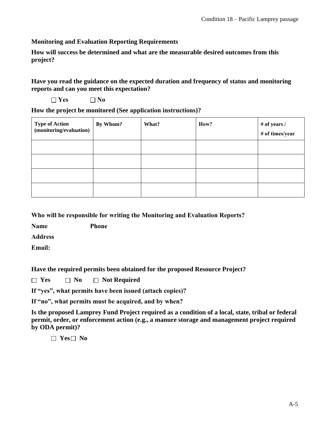#### **Monitoring and Evaluation Reporting Requirements**

**How will success be determined and what are the measurable desired outcomes from this project?**

**Have you read the guidance on the expected duration and frequency of status and monitoring reports and can you meet this expectation?** 

|  |  | $\Box$ Yes |  | $\Box$ No |
|--|--|------------|--|-----------|
|--|--|------------|--|-----------|

**How the project be monitored (See application instructions)?** 

| <b>Type of Action</b><br>(monitoring/evaluation) | By Whom? | What? | How? | # of years /<br># of times/year |
|--------------------------------------------------|----------|-------|------|---------------------------------|
|                                                  |          |       |      |                                 |
|                                                  |          |       |      |                                 |
|                                                  |          |       |      |                                 |
|                                                  |          |       |      |                                 |

**Who will be responsible for writing the Monitoring and Evaluation Reports?** 

**Name Phone** 

**Address** 

**Email:** 

**Have the required permits been obtained for the proposed Resource Project?** 

 $\Box$  **Yes**  $\Box$  **No**  $\Box$  **Not Required** 

**If "yes", what permits have been issued (attach copies)?** 

**If "no", what permits must be acquired, and by when?** 

**Is the proposed Lamprey Fund Project required as a condition of a local, state, tribal or federal permit, order, or enforcement action (e.g., a manure storage and management project required by ODA permit)?** 

 **Yes No**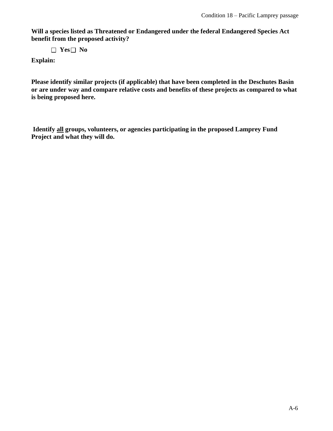**Will a species listed as Threatened or Endangered under the federal Endangered Species Act benefit from the proposed activity?** 

 **Yes No**

**Explain:** 

**Please identify similar projects (if applicable) that have been completed in the Deschutes Basin or are under way and compare relative costs and benefits of these projects as compared to what is being proposed here.**

**Identify all groups, volunteers, or agencies participating in the proposed Lamprey Fund Project and what they will do.**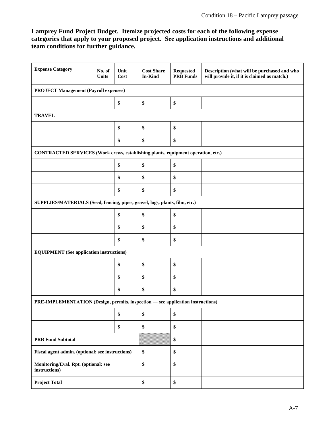#### **Lamprey Fund Project Budget. Itemize projected costs for each of the following expense categories that apply to your proposed project. See application instructions and additional team conditions for further guidance.**

| <b>Expense Category</b>                                                          | No. of<br><b>Units</b> | Unit<br>Cost | <b>Cost Share</b><br>In-Kind | <b>Requested</b><br><b>PRB</b> Funds | Description (what will be purchased and who<br>will provide it, if it is claimed as match.) |  |
|----------------------------------------------------------------------------------|------------------------|--------------|------------------------------|--------------------------------------|---------------------------------------------------------------------------------------------|--|
| <b>PROJECT Management (Payroll expenses)</b>                                     |                        |              |                              |                                      |                                                                                             |  |
|                                                                                  |                        | \$           | \$                           | \$                                   |                                                                                             |  |
| <b>TRAVEL</b>                                                                    |                        |              |                              |                                      |                                                                                             |  |
|                                                                                  |                        | \$           | \$                           | \$                                   |                                                                                             |  |
|                                                                                  |                        | \$           | \$                           | \$                                   |                                                                                             |  |
| CONTRACTED SERVICES (Work crews, establishing plants, equipment operation, etc.) |                        |              |                              |                                      |                                                                                             |  |
|                                                                                  |                        | \$           | \$                           | \$                                   |                                                                                             |  |
|                                                                                  |                        | \$           | \$                           | \$                                   |                                                                                             |  |
|                                                                                  |                        | \$           | \$                           | \$                                   |                                                                                             |  |
| SUPPLIES/MATERIALS (Seed, fencing, pipes, gravel, logs, plants, film, etc.)      |                        |              |                              |                                      |                                                                                             |  |
|                                                                                  |                        | \$           | \$                           | \$                                   |                                                                                             |  |
|                                                                                  |                        | \$           | \$                           | \$                                   |                                                                                             |  |
|                                                                                  |                        | \$           | \$                           | \$                                   |                                                                                             |  |
| <b>EQUIPMENT</b> (See application instructions)                                  |                        |              |                              |                                      |                                                                                             |  |
|                                                                                  |                        | \$           | \$                           | \$                                   |                                                                                             |  |
|                                                                                  |                        | \$           | \$                           | \$                                   |                                                                                             |  |
|                                                                                  |                        | \$           | \$                           | \$                                   |                                                                                             |  |
| PRE-IMPLEMENTATION (Design, permits, inspection - see application instructions)  |                        |              |                              |                                      |                                                                                             |  |
|                                                                                  |                        | \$           | \$                           | \$                                   |                                                                                             |  |
|                                                                                  |                        | \$           | \$                           | \$                                   |                                                                                             |  |
| <b>PRB Fund Subtotal</b>                                                         |                        |              | \$                           |                                      |                                                                                             |  |
| Fiscal agent admin. (optional; see instructions)                                 |                        | \$           | \$                           |                                      |                                                                                             |  |
| Monitoring/Eval. Rpt. (optional; see<br>instructions)                            |                        | \$           | \$                           |                                      |                                                                                             |  |
| <b>Project Total</b>                                                             |                        | \$           | \$                           |                                      |                                                                                             |  |